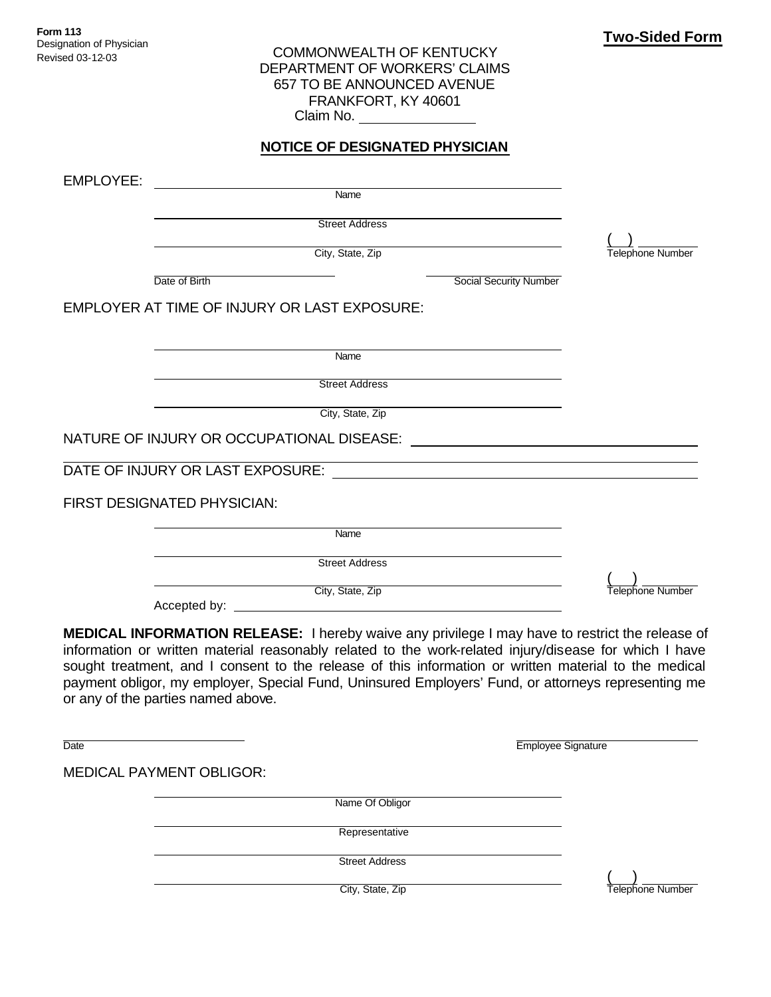## COMMONWEALTH OF KENTUCKY DEPARTMENT OF WORKERS' CLAIMS 657 TO BE ANNOUNCED AVENUE FRANKFORT, KY 40601 Claim No.

## **NOTICE OF DESIGNATED PHYSICIAN**

EMPLOYEE: Name Street Address  $($   $)$ City, State, Zip Telephone Number Date of Birth Social Security Number EMPLOYER AT TIME OF INJURY OR LAST EXPOSURE: Name Street Address City, State, Zip NATURE OF INJURY OR OCCUPATIONAL DISEASE: DATE OF INJURY OR LAST EXPOSURE: FIRST DESIGNATED PHYSICIAN: Name Street Address  $($   $)$ City, State, Zip Telephone Number Accepted by:

**MEDICAL INFORMATION RELEASE:** I hereby waive any privilege I may have to restrict the release of information or written material reasonably related to the work-related injury/disease for which I have sought treatment, and I consent to the release of this information or written material to the medical payment obligor, my employer, Special Fund, Uninsured Employers' Fund, or attorneys representing me or any of the parties named above.

Date **Employee Signature** Employee Signature

MEDICAL PAYMENT OBLIGOR:

Name Of Obligor

Representative

Street Address

 $($   $)$ **City, State, Zip** Telephone Number